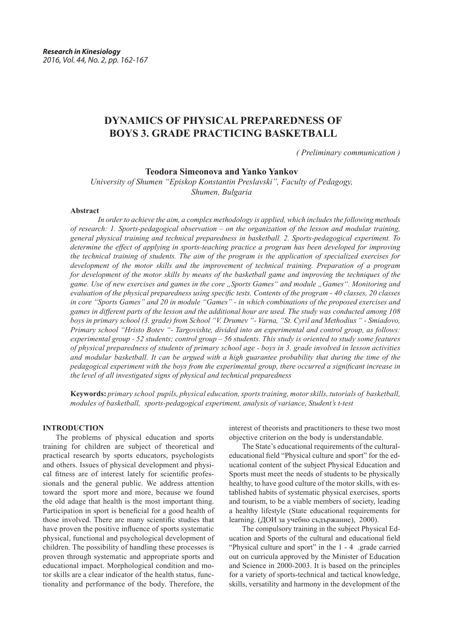# **DYNAMICS OF PHYSICAL PREPAREDNESS OF BOYS 3. GRADE PRACTICING BASKETBALL**

*( Preliminary communication )*

**Teodora Simeonova and Yanko Yankov**

*University of Shumen "Episkop Konstantin Preslavski", Faculty of Pedagogy, Shumen, Bulgaria*

## **Abstract**

*In order to achieve the aim, a complex methodology is applied, which includes the following methods of research: 1. Sports-pedagogical observation – on the organization of the lesson and modular training, general physical training and technical preparedness in basketball. 2. Sports-pedagogical experiment. To determine the effect of applying in sports-teaching practice a program has been developed for improving the technical training of students. The aim of the program is the application of specialized exercises for development of the motor skills and the improvement of technical training. Preparation of a program for development of the motor skills by means of the basketball game and improving the techniques of the game. Use of new exercises and games in the core "Sports Games" and module "Games". Monitoring and evaluation of the physical preparedness using specific tests. Contents of the program - 40 classes, 20 classes in core "Sports Games" and 20 in module "Games" - in which combinations of the proposed exercises and games in different parts of the lesson and the additional hour are used. The study was conducted among 108 boys in primary school (3. grade) from School "V. Drumev "- Varna, "St. Cyril and Methodius " - Smiadovo, Primary school "Hristo Botev "- Targovishte, divided into an experimental and control group, as follows: experimental group - 52 students; control group – 56 students. This study is oriented to study some features of physical preparedness of students of primary school age - boys in 3. grade involved in lesson activities and modular basketball. It can be argued with a high guarantee probability that during the time of the pedagogical experiment with the boys from the experimental group, there occurred a significant increase in the level of all investigated signs of physical and technical preparedness*

**Keywords:** *primary school pupils, physical education, sports training, motor skills, tutorials of basketball, modules of basketball, sports-pedagogical experiment, analysis of variance*, *Student's t-test*

#### **INTRODUCTION**

The problems of physical education and sports training for children are subject of theoretical and practical research by sports educators, psychologists and others. Issues of physical development and physical fitness are of interest lately for scientific professionals and the general public. We address attention toward the sport more and more, because we found the old adage that health is the most important thing. Participation in sport is beneficial for a good health of those involved. There are many scientific studies that have proven the positive influence of sports systematic physical, functional and psychological development of children. The possibility of handling these processes is proven through systematic and appropriate sports and educational impact. Morphological condition and motor skills are a clear indicator of the health status, functionality and performance of the body. Therefore, the

interest of theorists and practitioners to these two most objective criterion on the body is understandable.

The State's educational requirements of the culturaleducational field "Physical culture and sport" for the educational content of the subject Physical Education and Sports must meet the needs of students to be physically healthy, to have good culture of the motor skills, with established habits of systematic physical exercises, sports and tourism, to be a viable members of society, leading a healthy lifestyle (State educational requirements for learning. (ДОИ за учебно съдържание), 2000).

The compulsory training in the subject Physical Education and Sports of the cultural and educational field "Physical culture and sport" in the 1 - 4 .grade carried out on curricula approved by the Minister of Education and Science in 2000-2003. It is based on the principles for a variety of sports-technical and tactical knowledge, skills, versatility and harmony in the development of the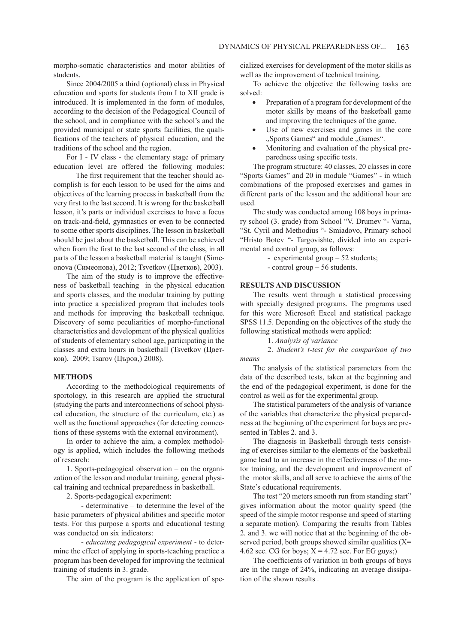morpho-somatic characteristics and motor abilities of students.

Since 2004/2005 a third (optional) class in Physical education and sports for students from I to XII grade is introduced. It is implemented in the form of modules, according to the decision of the Pedagogical Council of the school, and in compliance with the school's and the provided municipal or state sports facilities, the qualifications of the teachers of physical education, and the traditions of the school and the region.

For I - IV class - the elementary stage of primary education level are offered the following modules:

 The first requirement that the teacher should accomplish is for each lesson to be used for the aims and objectives of the learning process in basketball from the very first to the last second. It is wrong for the basketball lesson, it's parts or individual exercises to have a focus on track-and-field, gymnastics or even to be connected to some other sports disciplines. The lesson in basketball should be just about the basketball. This can be achieved when from the first to the last second of the class, in all parts of the lesson a basketball material is taught (Simeonova (Симеонова), 2012; Tsvetkov (Цветков), 2003).

The aim of the study is to improve the effectiveness of basketball teaching in the physical education and sports classes, and the modular training by putting into practice a specialized program that includes tools and methods for improving the basketball technique. Discovery of some peculiarities of morpho-functional characteristics and development of the physical qualities of students of elementary school age, participating in the classes and extra hours in basketball (Tsvetkov (Цветков), 2009; Tsarov (Църов,) 2008).

### **METHODS**

According to the methodological requirements of sportology, in this research are applied the structural (studying the parts and interconnections of school physical education, the structure of the curriculum, etc.) as well as the functional approaches (for detecting connections of these systems with the external environment).

In order to achieve the aim, a complex methodology is applied, which includes the following methods of research:

1. Sports-pedagogical observation – on the organization of the lesson and modular training, general physical training and technical preparedness in basketball.

2. Sports-pedagogical experiment:

- determinative – to determine the level of the basic parameters of physical abilities and specific motor tests. For this purpose a sports and educational testing was conducted on six indicators:

- *educating pedagogical experiment* - to determine the effect of applying in sports-teaching practice a program has been developed for improving the technical training of students in 3. grade.

The aim of the program is the application of spe-

cialized exercises for development of the motor skills as well as the improvement of technical training.

To achieve the objective the following tasks are solved:

- Preparation of a program for development of the motor skills by means of the basketball game and improving the techniques of the game.
- • Use of new exercises and games in the core ., Sports Games" and module ., Games".
- Monitoring and evaluation of the physical preparedness using specific tests.

The program structure: 40 classes, 20 classes in core "Sports Games" and 20 in module "Games" - in which combinations of the proposed exercises and games in different parts of the lesson and the additional hour are used.

The study was conducted among 108 boys in primary school (3. grade) from School "V. Drumev "- Varna, "St. Cyril and Methodius "- Smiadovo, Primary school "Hristo Botev "- Targovishte, divided into an experimental and control group, as follows:

- experimental group – 52 students;

- control group – 56 students.

#### **RESULTS AND DISCUSSION**

The results went through a statistical processing with specially designed programs. The programs used for this were Microsoft Excel and statistical package SPSS 11.5. Depending on the objectives of the study the following statistical methods were applied:

1. *Analysis of variance* 

2. *Student's t-test for the comparison of two means*

The analysis of the statistical parameters from the data of the described tests, taken at the beginning and the end of the pedagogical experiment, is done for the control as well as for the experimental group.

The statistical parameters of the analysis of variance of the variables that characterize the physical preparedness at the beginning of the experiment for boys are presented in Tables 2. and 3.

The diagnosis in Basketball through tests consisting of exercises similar to the elements of the basketball game lead to an increase in the effectiveness of the motor training, and the development and improvement of the motor skills, and all serve to achieve the aims of the State's educational requirements.

The test "20 meters smooth run from standing start" gives information about the motor quality speed (the speed of the simple motor response and speed of starting a separate motion). Comparing the results from Tables 2. and 3. we will notice that at the beginning of the observed period, both groups showed similar qualities  $(X=$ 4.62 sec. CG for boys;  $X = 4.72$  sec. For EG guys;)

The coefficients of variation in both groups of boys are in the range of 24%, indicating an average dissipation of the shown results .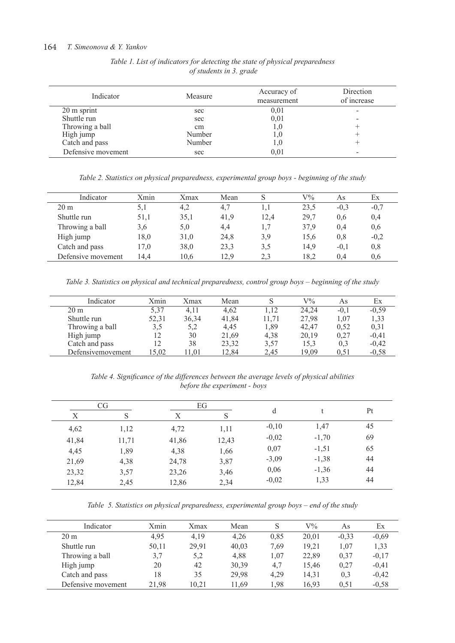# 164 *T. Simeonova & Y. Yankov*

| Indicator          | Measure | Accuracy of<br>measurement | Direction<br>of increase |
|--------------------|---------|----------------------------|--------------------------|
| 20 m sprint        | sec     | 0,01                       | -                        |
| Shuttle run        | sec     | 0,01                       | -                        |
| Throwing a ball    | cm      |                            |                          |
| High jump          | Number  |                            |                          |
| Catch and pass     | Number  |                            |                          |
| Defensive movement | sec     | 0,01                       | -                        |

*Table 1. List of indicators for detecting the state of physical preparedness of students in 3. grade*

*Table 2. Statistics on physical preparedness, experimental group boys - beginning of the study*

| Indicator          | Xmin | Xmax | Mean | S    | $\rm V\%$ | As     | Ex     |
|--------------------|------|------|------|------|-----------|--------|--------|
| 20 <sub>m</sub>    | 5,1  | 4,2  | 4.7  |      | 23,5      | $-0.3$ | $-0.7$ |
| Shuttle run        | 51,1 | 35,1 | 41.9 | 12,4 | 29,7      | 0.6    | 0,4    |
| Throwing a ball    | 3,6  | 5,0  | 4,4  |      | 37,9      | 0,4    | 0,6    |
| High jump          | 18,0 | 31,0 | 24,8 | 3,9  | 15,6      | 0.8    | $-0.2$ |
| Catch and pass     | 17,0 | 38,0 | 23,3 | 3.5  | 14,9      | $-0.1$ | 0,8    |
| Defensive movement | 14.4 | 10,6 | 12.9 | 2.3  | 18,2      | 0.4    | 0.6    |

*Table 3. Statistics on physical and technical preparedness, control group boys – beginning of the study*

| Indicator          | Xmin  | Xmax  | Mean  |       | $\rm V\%$ | As     | Еx      |
|--------------------|-------|-------|-------|-------|-----------|--------|---------|
| $20 \text{ m}$     | 5,37  | 4,11  | 4,62  | 1.12  | 24.24     | $-0.1$ | $-0,59$ |
| Shuttle run        | 52,31 | 36,34 | 41,84 | 11.71 | 27,98     | 1.07   | 1,33    |
| Throwing a ball    | 3.5   | 5,2   | 4,45  | 1,89  | 42.47     | 0.52   | 0.31    |
| High jump          |       | 30    | 21,69 | 4,38  | 20,19     | 0,27   | $-0,41$ |
| Catch and pass     | 12    | 38    | 23,32 | 3,57  | 15,3      | 0,3    | $-0,42$ |
| Defensive movement | 15,02 | 1.01  | 12.84 | 2.45  | 19.09     | 0.51   | $-0.58$ |

*Table 4. Significance of the differences between the average levels of physical abilities before the experiment - boys*

|       | CG    |       | EG    |         |         |    |
|-------|-------|-------|-------|---------|---------|----|
| Χ     | S     | Χ     | S     | d       |         | Pt |
| 4,62  | 1,12  | 4,72  | 1,11  | $-0,10$ | 1,47    | 45 |
| 41,84 | 11,71 | 41,86 | 12,43 | $-0,02$ | $-1,70$ | 69 |
| 4,45  | 1,89  | 4,38  | 1,66  | 0,07    | $-1,51$ | 65 |
| 21,69 | 4,38  | 24,78 | 3,87  | $-3,09$ | $-1,38$ | 44 |
| 23,32 | 3,57  | 23,26 | 3,46  | 0,06    | $-1,36$ | 44 |
| 12,84 | 2,45  | 12,86 | 2,34  | $-0,02$ | 1,33    | 44 |

*Table 5. Statistics on physical preparedness, experimental group boys – end of the study*

| Indicator          | Xmin  | Xmax  | Mean  |      | $V\%$ | As      | Еx      |
|--------------------|-------|-------|-------|------|-------|---------|---------|
| 20 <sub>m</sub>    | 4.95  | 4.19  | 4.26  | 0.85 | 20,01 | $-0,33$ | $-0,69$ |
| Shuttle run        | 50,11 | 29,91 | 40.03 | 7.69 | 19.21 | 1,07    | 1,33    |
| Throwing a ball    | 3,7   | 5,2   | 4,88  | 1,07 | 22,89 | 0,37    | $-0,17$ |
| High jump          | 20    | 42    | 30,39 | 4,7  | 15,46 | 0,27    | $-0,41$ |
| Catch and pass     | 18    | 35    | 29,98 | 4,29 | 14,31 | 0,3     | $-0,42$ |
| Defensive movement | 21,98 | 10,21 | 11.69 | 1,98 | 16.93 | 0.51    | $-0.58$ |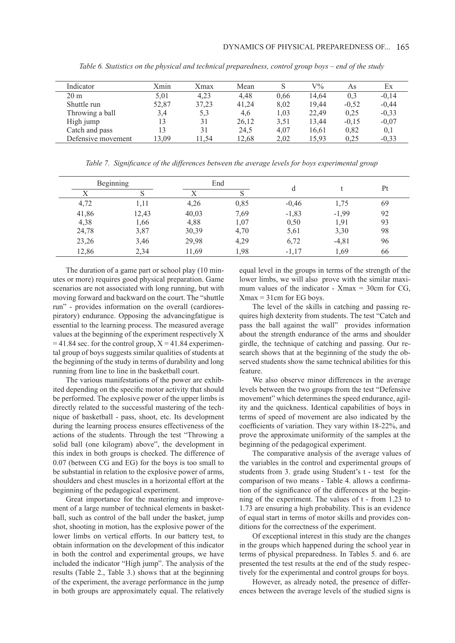| Indicator          | Xmin  | Xmax  | Mean  |      | $\rm V\%$ | As      | Ex      |
|--------------------|-------|-------|-------|------|-----------|---------|---------|
| $20 \text{ m}$     | 5,01  | 4,23  | 4.48  | 0.66 | 14.64     | 0.3     | $-0.14$ |
| Shuttle run        | 52,87 | 37,23 | 41,24 | 8.02 | 19,44     | $-0.52$ | $-0,44$ |
| Throwing a ball    | 3,4   | 5,3   | 4,6   | 1,03 | 22,49     | 0.25    | $-0.33$ |
| High jump          |       | 31    | 26,12 | 3.51 | 13,44     | $-0.15$ | $-0,07$ |
| Catch and pass     |       | 31    | 24,5  | 4,07 | 16.61     | 0.82    | 0,1     |
| Defensive movement | 3.09  | 11.54 | 12.68 | 2.02 | 15,93     | 0.25    | $-0.33$ |

*Table 6. Statistics on the physical and technical preparedness, control group boys – end of the study*

*Table 7. Significance of the differences between the average levels for boys experimental group*

|       | Beginning<br>End |       |      |         |          | Pt |  |
|-------|------------------|-------|------|---------|----------|----|--|
| Х     |                  |       |      | d       |          |    |  |
| 4,72  | 1,11             | 4,26  | 0,85 | $-0,46$ | 1,75     | 69 |  |
| 41,86 | 12,43            | 40,03 | 7,69 | $-1,83$ | $-1,99$  | 92 |  |
| 4,38  | 1,66             | 4,88  | 1,07 | 0,50    | 1,91     | 93 |  |
| 24,78 | 3,87             | 30,39 | 4,70 | 5,61    | 3,30     | 98 |  |
| 23,26 | 3,46             | 29,98 | 4,29 | 6,72    | $-4, 81$ | 96 |  |
| 12,86 | 2,34             | 11,69 | 1,98 | $-1,17$ | 1,69     | 66 |  |

The duration of a game part or school play (10 minutes or more) requires good physical preparation. Game scenarios are not associated with long running, but with moving forward and backward on the court. The "shuttle run" - provides information on the overall (cardiorespiratory) endurance. Opposing the advancingfatigue is essential to the learning process. The measured average values at the beginning of the experiment respectively X  $= 41.84$  sec. for the control group,  $X = 41.84$  experimental group of boys suggests similar qualities of students at the beginning of the study in terms of durability and long running from line to line in the basketball court.

The various manifestations of the power are exhibited depending on the specific motor activity that should be performed. The explosive power of the upper limbs is directly related to the successful mastering of the technique of basketball - pass, shoot, etc. Its development during the learning process ensures effectiveness of the actions of the students. Through the test "Throwing a solid ball (one kilogram) above", the development in this index in both groups is checked. The difference of 0.07 (between CG and EG) for the boys is too small to be substantial in relation to the explosive power of arms, shoulders and chest muscles in a horizontal effort at the beginning of the pedagogical experiment.

Great importance for the mastering and improvement of a large number of technical elements in basketball, such as control of the ball under the basket, jump shot, shooting in motion, has the explosive power of the lower limbs on vertical efforts. In our battery test, to obtain information on the development of this indicator in both the control and experimental groups, we have included the indicator "High jump". The analysis of the results (Table 2., Table 3.) shows that at the beginning of the experiment, the average performance in the jump in both groups are approximately equal. The relatively

equal level in the groups in terms of the strength of the lower limbs, we will also prove with the similar maximum values of the indicator -  $X$ max = 30cm for CG,  $X$ max = 31cm for EG boys.

The level of the skills in catching and passing requires high dexterity from students. The test "Catch and pass the ball against the wall" provides information about the strength endurance of the arms and shoulder girdle, the technique of catching and passing. Our research shows that at the beginning of the study the observed students show the same technical abilities for this feature.

We also observe minor differences in the average levels between the two groups from the test "Defensive movement" which determines the speed endurance, agility and the quickness. Identical capabilities of boys in terms of speed of movement are also indicated by the coefficients of variation. They vary within 18-22%, and prove the approximate uniformity of the samples at the beginning of the pedagogical experiment.

The comparative analysis of the average values of the variables in the control and experimental groups of students from 3. grade using Student's t - test for the comparison of two means - Table 4. allows a confirmation of the significance of the differences at the beginning of the experiment. The values of t - from 1.23 to 1.73 are ensuring a high probability. This is an evidence of equal start in terms of motor skills and provides conditions for the correctness of the experiment.

Of exceptional interest in this study are the changes in the groups which happened during the school year in terms of physical preparedness. In Tables 5. and 6. are presented the test results at the end of the study respectively for the experimental and control groups for boys.

However, as already noted, the presence of differences between the average levels of the studied signs is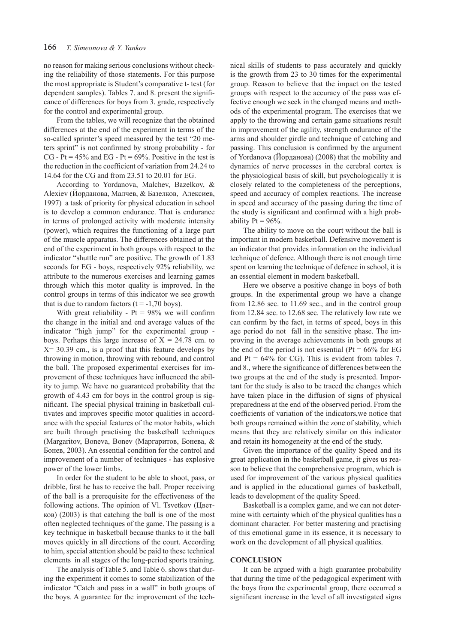no reason for making serious conclusions without checking the reliability of those statements. For this purpose the most appropriate is Student's comparative t- test (for dependent samples). Tables 7. and 8. present the significance of differences for boys from 3. grade, respectively for the control and experimental group.

From the tables, we will recognize that the obtained differences at the end of the experiment in terms of the so-called sprinter's speed measured by the test "20 meters sprint" is not confirmed by strong probability - for CG - Pt =  $45\%$  and EG - Pt =  $69\%$ . Positive in the test is the reduction in the coefficient of variation from 24.24 to 14.64 for the CG and from 23.51 to 20.01 for EG.

According to Yordanova, Мalchev, Bazelkov, & Alexiev (Йорданова, Малчев, & Базелков, Алексиев, 1997) a task of priority for physical education in school is to develop a common endurance. That is endurance in terms of prolonged activity with moderate intensity (power), which requires the functioning of a large part of the muscle apparatus. The differences obtained at the end of the experiment in both groups with respect to the indicator "shuttle run" are positive. The growth of 1.83 seconds for EG - boys, respectively 92% reliability, we attribute to the numerous exercises and learning games through which this motor quality is improved. In the control groups in terms of this indicator we see growth that is due to random factors  $(t = -1,70 \text{ boys})$ .

With great reliability -  $Pt = 98%$  we will confirm the change in the initial and end average values of the indicator "high jump" for the experimental group boys. Perhaps this large increase of  $X = 24.78$  cm. to  $X = 30.39$  cm., is a proof that this feature develops by throwing in motion, throwing with rebound, and control the ball. The proposed experimental exercises for improvement of these techniques have influenced the ability to jump. We have no guaranteed probability that the growth of 4.43 cm for boys in the control group is significant. The special physical training in basketball cultivates and improves specific motor qualities in accordance with the special features of the motor habits, which are built through practising the basketball techniques (Margaritov, Boneva, Bonev (Маргаритов, Бонева, & Бонев, 2003). An essential condition for the control and improvement of a number of techniques - has explosive power of the lower limbs.

In order for the student to be able to shoot, pass, or dribble, first he has to receive the ball. Proper receiving of the ball is a prerequisite for the effectiveness of the following actions. The opinion of Vl. Tsvetkov (Цветков) (2003) is that catching the ball is one of the most often neglected techniques of the game. The passing is a key technique in basketball because thanks to it the ball moves quickly in all directions of the court. According to him, special attention should be paid to these technical elements in all stages of the long-period sports training.

The analysis of Table 5. and Table 6. shows that during the experiment it comes to some stabilization of the indicator "Catch and pass in a wall" in both groups of the boys. A guarantee for the improvement of the technical skills of students to pass accurately and quickly is the growth from 23 to 30 times for the experimental group. Reason to believe that the impact on the tested groups with respect to the accuracy of the pass was effective enough we seek in the changed means and methods of the experimental program. The exercises that we apply to the throwing and certain game situations result in improvement of the agility, strength endurance of the arms and shoulder girdle and technique of catching and passing. This conclusion is confirmed by the argument of Yordanova (Йорданова) (2008) that the mobility and dynamics of nerve processes in the cerebral cortex is the physiological basis of skill, but psychologically it is closely related to the completeness of the perceptions, speed and accuracy of complex reactions. The increase in speed and accuracy of the passing during the time of the study is significant and confirmed with a high probability  $Pt = 96\%$ .

The ability to move on the court without the ball is important in modern basketball. Defensive movement is an indicator that provides information on the individual technique of defence. Although there is not enough time spent on learning the technique of defence in school, it is an essential element in modern basketball.

Here we observe a positive change in boys of both groups. In the experimental group we have a change from 12.86 sec. to 11.69 sec., and in the control group from 12.84 sec. to 12.68 sec. The relatively low rate we can confirm by the fact, in terms of speed, boys in this age period do not fall in the sensitive phase. The improving in the average achievements in both groups at the end of the period is not essential ( $Pt = 66\%$  for EG and  $Pt = 64\%$  for CG). This is evident from tables 7. and 8., where the significance of differences between the two groups at the end of the study is presented. Important for the study is also to be traced the changes which have taken place in the diffusion of signs of physical preparedness at the end of the observed period. From the coefficients of variation of the indicators,we notice that both groups remained within the zone of stability, which means that they are relatively similar on this indicator and retain its homogeneity at the end of the study.

Given the importance of the quality Speed and its great application in the basketball game, it gives us reason to believe that the comprehensive program, which is used for improvement of the various physical qualities and is applied in the educational games of basketball, leads to development of the quality Speed.

Basketball is a complex game, and we can not determine with certainty which of the physical qualities has a dominant character. For better mastering and practising of this emotional game in its essence, it is necessary to work on the development of all physical qualities.

#### **CONCLUSION**

It can be argued with a high guarantee probability that during the time of the pedagogical experiment with the boys from the experimental group, there occurred a significant increase in the level of all investigated signs